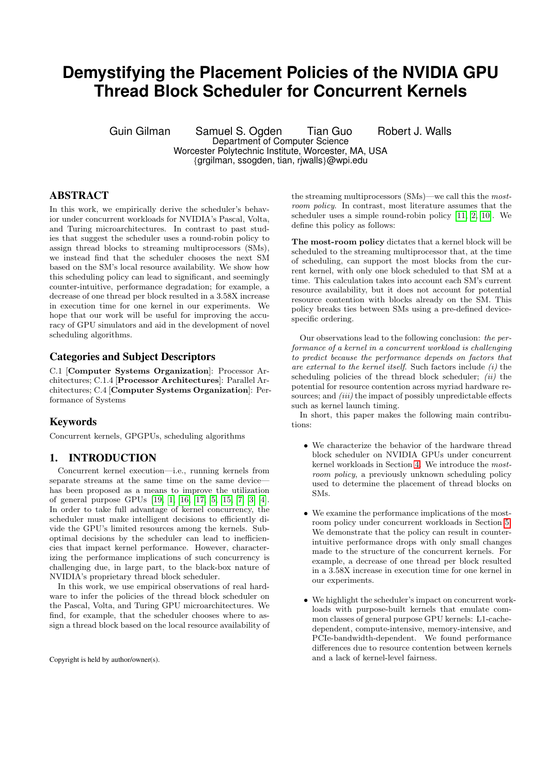# **Demystifying the Placement Policies of the NVIDIA GPU Thread Block Scheduler for Concurrent Kernels**

Guin Gilman Samuel S. Ogden Tian Guo Robert J. Walls Department of Computer Science

Worcester Polytechnic Institute, Worcester, MA, USA

{grgilman, ssogden, tian, rjwalls}@wpi.edu

# ABSTRACT

In this work, we empirically derive the scheduler's behavior under concurrent workloads for NVIDIA's Pascal, Volta, and Turing microarchitectures. In contrast to past studies that suggest the scheduler uses a round-robin policy to assign thread blocks to streaming multiprocessors (SMs), we instead find that the scheduler chooses the next SM based on the SM's local resource availability. We show how this scheduling policy can lead to significant, and seemingly counter-intuitive, performance degradation; for example, a decrease of one thread per block resulted in a 3.58X increase in execution time for one kernel in our experiments. We hope that our work will be useful for improving the accuracy of GPU simulators and aid in the development of novel scheduling algorithms.

## Categories and Subject Descriptors

C.1 [Computer Systems Organization]: Processor Architectures; C.1.4 [Processor Architectures]: Parallel Architectures; C.4 [Computer Systems Organization]: Performance of Systems

# Keywords

Concurrent kernels, GPGPUs, scheduling algorithms

# 1. INTRODUCTION

Concurrent kernel execution—i.e., running kernels from separate streams at the same time on the same device has been proposed as a means to improve the utilization of general purpose GPUs [19, 1, 16, 17, 5, 15, 7, 3, 4]. In order to take full advantage of kernel concurrency, the scheduler must make intelligent decisions to efficiently divide the GPU's limited resources among the kernels. Suboptimal decisions by the scheduler can lead to inefficiencies that impact kernel performance. However, characterizing the performance implications of such concurrency is challenging due, in large part, to the black-box nature of NVIDIA's proprietary thread block scheduler.

In this work, we use empirical observations of real hardware to infer the policies of the thread block scheduler on the Pascal, Volta, and Turing GPU microarchitectures. We find, for example, that the scheduler chooses where to assign a thread block based on the local resource availability of

Copyright is held by author/owner(s).

the streaming multiprocessors (SMs)—we call this the mostroom policy. In contrast, most literature assumes that the scheduler uses a simple round-robin policy [11, 2, 10]. We define this policy as follows:

The most-room policy dictates that a kernel block will be scheduled to the streaming multiprocessor that, at the time of scheduling, can support the most blocks from the current kernel, with only one block scheduled to that SM at a time. This calculation takes into account each SM's current resource availability, but it does not account for potential resource contention with blocks already on the SM. This policy breaks ties between SMs using a pre-defined devicespecific ordering.

Our observations lead to the following conclusion: the performance of a kernel in a concurrent workload is challenging to predict because the performance depends on factors that are external to the kernel itself. Such factors include  $(i)$  the scheduling policies of the thread block scheduler;  $(ii)$  the potential for resource contention across myriad hardware resources; and *(iii)* the impact of possibly unpredictable effects such as kernel launch timing.

In short, this paper makes the following main contributions:

- We characterize the behavior of the hardware thread block scheduler on NVIDIA GPUs under concurrent kernel workloads in Section 4. We introduce the mostroom policy, a previously unknown scheduling policy used to determine the placement of thread blocks on SMs.
- We examine the performance implications of the mostroom policy under concurrent workloads in Section 5. We demonstrate that the policy can result in counterintuitive performance drops with only small changes made to the structure of the concurrent kernels. For example, a decrease of one thread per block resulted in a 3.58X increase in execution time for one kernel in our experiments.
- We highlight the scheduler's impact on concurrent workloads with purpose-built kernels that emulate common classes of general purpose GPU kernels: L1-cachedependent, compute-intensive, memory-intensive, and PCIe-bandwidth-dependent. We found performance differences due to resource contention between kernels and a lack of kernel-level fairness.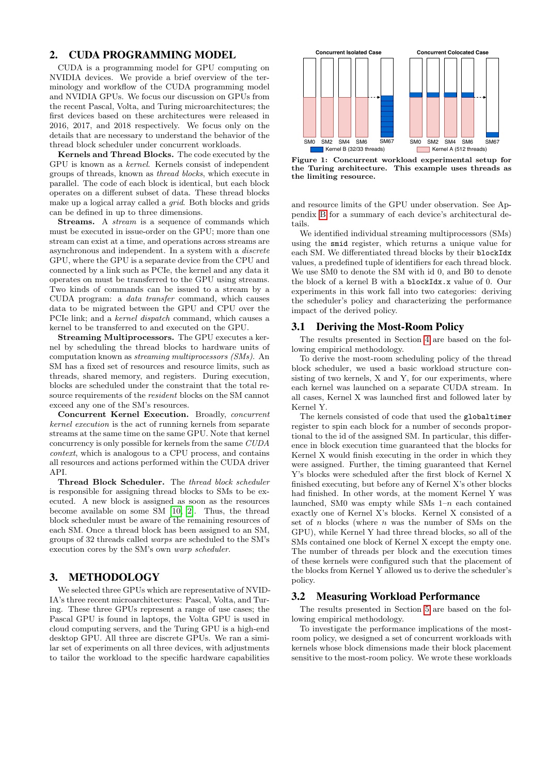## 2. CUDA PROGRAMMING MODEL

CUDA is a programming model for GPU computing on NVIDIA devices. We provide a brief overview of the terminology and workflow of the CUDA programming model and NVIDIA GPUs. We focus our discussion on GPUs from the recent Pascal, Volta, and Turing microarchitectures; the first devices based on these architectures were released in 2016, 2017, and 2018 respectively. We focus only on the details that are necessary to understand the behavior of the thread block scheduler under concurrent workloads.

Kernels and Thread Blocks. The code executed by the GPU is known as a kernel. Kernels consist of independent groups of threads, known as thread blocks, which execute in parallel. The code of each block is identical, but each block operates on a different subset of data. These thread blocks make up a logical array called a *grid*. Both blocks and grids can be defined in up to three dimensions.

Streams. A *stream* is a sequence of commands which must be executed in issue-order on the GPU; more than one stream can exist at a time, and operations across streams are asynchronous and independent. In a system with a discrete GPU, where the GPU is a separate device from the CPU and connected by a link such as PCIe, the kernel and any data it operates on must be transferred to the GPU using streams. Two kinds of commands can be issued to a stream by a CUDA program: a data transfer command, which causes data to be migrated between the GPU and CPU over the PCIe link; and a kernel dispatch command, which causes a kernel to be transferred to and executed on the GPU.

Streaming Multiprocessors. The GPU executes a kernel by scheduling the thread blocks to hardware units of computation known as streaming multiprocessors (SMs). An SM has a fixed set of resources and resource limits, such as threads, shared memory, and registers. During execution, blocks are scheduled under the constraint that the total resource requirements of the resident blocks on the SM cannot exceed any one of the SM's resources.

Concurrent Kernel Execution. Broadly, concurrent kernel execution is the act of running kernels from separate streams at the same time on the same GPU. Note that kernel concurrency is only possible for kernels from the same CUDA context, which is analogous to a CPU process, and contains all resources and actions performed within the CUDA driver API.

Thread Block Scheduler. The thread block scheduler is responsible for assigning thread blocks to SMs to be executed. A new block is assigned as soon as the resources become available on some SM [10, 2]. Thus, the thread block scheduler must be aware of the remaining resources of each SM. Once a thread block has been assigned to an SM, groups of 32 threads called warps are scheduled to the SM's execution cores by the SM's own warp scheduler.

## 3. METHODOLOGY

We selected three GPUs which are representative of NVID-IA's three recent microarchitectures: Pascal, Volta, and Turing. These three GPUs represent a range of use cases; the Pascal GPU is found in laptops, the Volta GPU is used in cloud computing servers, and the Turing GPU is a high-end desktop GPU. All three are discrete GPUs. We ran a similar set of experiments on all three devices, with adjustments to tailor the workload to the specific hardware capabilities



Figure 1: Concurrent workload experimental setup for the Turing architecture. This example uses threads as the limiting resource.

and resource limits of the GPU under observation. See Appendix B for a summary of each device's architectural details.

We identified individual streaming multiprocessors (SMs) using the smid register, which returns a unique value for each SM. We differentiated thread blocks by their blockIdx values, a predefined tuple of identifiers for each thread block. We use SM0 to denote the SM with id 0, and B0 to denote the block of a kernel B with a blockIdx.x value of 0. Our experiments in this work fall into two categories: deriving the scheduler's policy and characterizing the performance impact of the derived policy.

## 3.1 Deriving the Most-Room Policy

The results presented in Section 4 are based on the following empirical methodology.

To derive the most-room scheduling policy of the thread block scheduler, we used a basic workload structure consisting of two kernels, X and Y, for our experiments, where each kernel was launched on a separate CUDA stream. In all cases, Kernel X was launched first and followed later by Kernel Y.

The kernels consisted of code that used the globaltimer register to spin each block for a number of seconds proportional to the id of the assigned SM. In particular, this difference in block execution time guaranteed that the blocks for Kernel X would finish executing in the order in which they were assigned. Further, the timing guaranteed that Kernel Y's blocks were scheduled after the first block of Kernel X finished executing, but before any of Kernel X's other blocks had finished. In other words, at the moment Kernel Y was launched, SM0 was empty while SMs  $1-n$  each contained exactly one of Kernel X's blocks. Kernel X consisted of a set of  $n$  blocks (where  $n$  was the number of SMs on the GPU), while Kernel Y had three thread blocks, so all of the SMs contained one block of Kernel X except the empty one. The number of threads per block and the execution times of these kernels were configured such that the placement of the blocks from Kernel Y allowed us to derive the scheduler's policy.

#### 3.2 Measuring Workload Performance

The results presented in Section 5 are based on the following empirical methodology.

To investigate the performance implications of the mostroom policy, we designed a set of concurrent workloads with kernels whose block dimensions made their block placement sensitive to the most-room policy. We wrote these workloads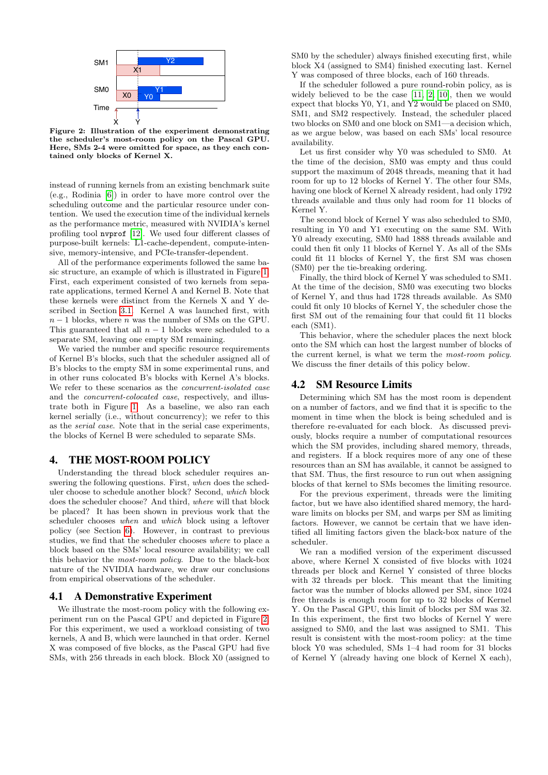

Figure 2: Illustration of the experiment demonstrating the scheduler's most-room policy on the Pascal GPU. Here, SMs 2-4 were omitted for space, as they each contained only blocks of Kernel X.

instead of running kernels from an existing benchmark suite (e.g., Rodinia [6]) in order to have more control over the scheduling outcome and the particular resource under contention. We used the execution time of the individual kernels as the performance metric, measured with NVIDIA's kernel profiling tool nvprof [12]. We used four different classes of purpose-built kernels: L1-cache-dependent, compute-intensive, memory-intensive, and PCIe-transfer-dependent.

All of the performance experiments followed the same basic structure, an example of which is illustrated in Figure 1. First, each experiment consisted of two kernels from separate applications, termed Kernel A and Kernel B. Note that these kernels were distinct from the Kernels X and Y described in Section 3.1. Kernel A was launched first, with  $n-1$  blocks, where n was the number of SMs on the GPU. This guaranteed that all  $n-1$  blocks were scheduled to a separate SM, leaving one empty SM remaining.

We varied the number and specific resource requirements of Kernel B's blocks, such that the scheduler assigned all of B's blocks to the empty SM in some experimental runs, and in other runs colocated B's blocks with Kernel A's blocks. We refer to these scenarios as the concurrent-isolated case and the concurrent-colocated case, respectively, and illustrate both in Figure 1. As a baseline, we also ran each kernel serially (i.e., without concurrency); we refer to this as the serial case. Note that in the serial case experiments, the blocks of Kernel B were scheduled to separate SMs.

#### 4. THE MOST-ROOM POLICY

Understanding the thread block scheduler requires answering the following questions. First, when does the scheduler choose to schedule another block? Second, which block does the scheduler choose? And third, where will that block be placed? It has been shown in previous work that the scheduler chooses when and which block using a leftover policy (see Section 6). However, in contrast to previous studies, we find that the scheduler chooses where to place a block based on the SMs' local resource availability; we call this behavior the most-room policy. Due to the black-box nature of the NVIDIA hardware, we draw our conclusions from empirical observations of the scheduler.

#### 4.1 A Demonstrative Experiment

We illustrate the most-room policy with the following experiment run on the Pascal GPU and depicted in Figure 2. For this experiment, we used a workload consisting of two kernels, A and B, which were launched in that order. Kernel X was composed of five blocks, as the Pascal GPU had five SMs, with 256 threads in each block. Block X0 (assigned to

SM0 by the scheduler) always finished executing first, while block X4 (assigned to SM4) finished executing last. Kernel Y was composed of three blocks, each of 160 threads.

If the scheduler followed a pure round-robin policy, as is widely believed to be the case [11, 2, 10], then we would expect that blocks Y0, Y1, and Y2 would be placed on SM0, SM1, and SM2 respectively. Instead, the scheduler placed two blocks on SM0 and one block on SM1—a decision which, as we argue below, was based on each SMs' local resource availability.

Let us first consider why Y0 was scheduled to SM0. At the time of the decision, SM0 was empty and thus could support the maximum of 2048 threads, meaning that it had room for up to 12 blocks of Kernel Y. The other four SMs, having one block of Kernel X already resident, had only 1792 threads available and thus only had room for 11 blocks of Kernel Y.

The second block of Kernel Y was also scheduled to SM0, resulting in Y0 and Y1 executing on the same SM. With Y0 already executing, SM0 had 1888 threads available and could then fit only 11 blocks of Kernel Y. As all of the SMs could fit 11 blocks of Kernel Y, the first SM was chosen (SM0) per the tie-breaking ordering.

Finally, the third block of Kernel Y was scheduled to SM1. At the time of the decision, SM0 was executing two blocks of Kernel Y, and thus had 1728 threads available. As SM0 could fit only 10 blocks of Kernel Y, the scheduler chose the first SM out of the remaining four that could fit 11 blocks each (SM1).

This behavior, where the scheduler places the next block onto the SM which can host the largest number of blocks of the current kernel, is what we term the most-room policy. We discuss the finer details of this policy below.

## 4.2 SM Resource Limits

Determining which SM has the most room is dependent on a number of factors, and we find that it is specific to the moment in time when the block is being scheduled and is therefore re-evaluated for each block. As discussed previously, blocks require a number of computational resources which the SM provides, including shared memory, threads, and registers. If a block requires more of any one of these resources than an SM has available, it cannot be assigned to that SM. Thus, the first resource to run out when assigning blocks of that kernel to SMs becomes the limiting resource.

For the previous experiment, threads were the limiting factor, but we have also identified shared memory, the hardware limits on blocks per SM, and warps per SM as limiting factors. However, we cannot be certain that we have identified all limiting factors given the black-box nature of the scheduler.

We ran a modified version of the experiment discussed above, where Kernel X consisted of five blocks with 1024 threads per block and Kernel Y consisted of three blocks with 32 threads per block. This meant that the limiting factor was the number of blocks allowed per SM, since 1024 free threads is enough room for up to 32 blocks of Kernel Y. On the Pascal GPU, this limit of blocks per SM was 32. In this experiment, the first two blocks of Kernel Y were assigned to SM0, and the last was assigned to SM1. This result is consistent with the most-room policy: at the time block Y0 was scheduled, SMs 1–4 had room for 31 blocks of Kernel Y (already having one block of Kernel X each),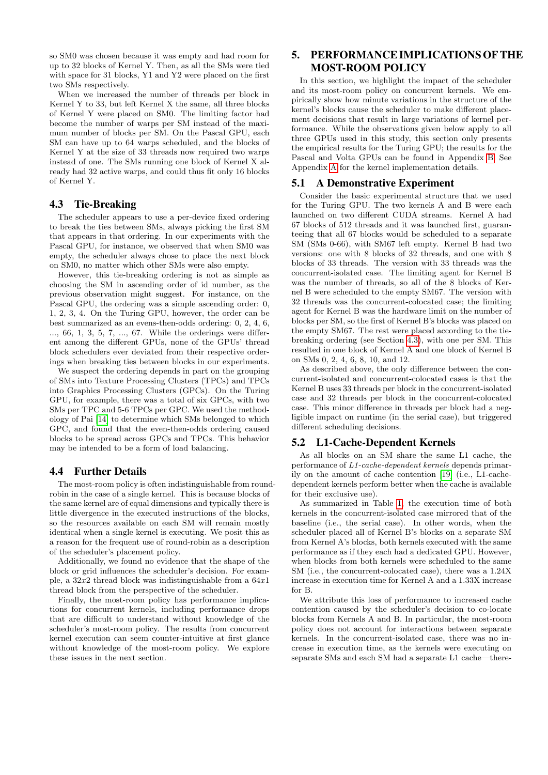so SM0 was chosen because it was empty and had room for up to 32 blocks of Kernel Y. Then, as all the SMs were tied with space for 31 blocks, Y1 and Y2 were placed on the first two SMs respectively.

When we increased the number of threads per block in Kernel Y to 33, but left Kernel X the same, all three blocks of Kernel Y were placed on SM0. The limiting factor had become the number of warps per SM instead of the maximum number of blocks per SM. On the Pascal GPU, each SM can have up to 64 warps scheduled, and the blocks of Kernel Y at the size of 33 threads now required two warps instead of one. The SMs running one block of Kernel X already had 32 active warps, and could thus fit only 16 blocks of Kernel Y.

## 4.3 Tie-Breaking

The scheduler appears to use a per-device fixed ordering to break the ties between SMs, always picking the first SM that appears in that ordering. In our experiments with the Pascal GPU, for instance, we observed that when SM0 was empty, the scheduler always chose to place the next block on SM0, no matter which other SMs were also empty.

However, this tie-breaking ordering is not as simple as choosing the SM in ascending order of id number, as the previous observation might suggest. For instance, on the Pascal GPU, the ordering was a simple ascending order: 0, 1, 2, 3, 4. On the Turing GPU, however, the order can be best summarized as an evens-then-odds ordering: 0, 2, 4, 6, ..., 66, 1, 3, 5, 7, ..., 67. While the orderings were different among the different GPUs, none of the GPUs' thread block schedulers ever deviated from their respective orderings when breaking ties between blocks in our experiments.

We suspect the ordering depends in part on the grouping of SMs into Texture Processing Clusters (TPCs) and TPCs into Graphics Processing Clusters (GPCs). On the Turing GPU, for example, there was a total of six GPCs, with two SMs per TPC and 5-6 TPCs per GPC. We used the methodology of Pai [14] to determine which SMs belonged to which GPC, and found that the even-then-odds ordering caused blocks to be spread across GPCs and TPCs. This behavior may be intended to be a form of load balancing.

## 4.4 Further Details

The most-room policy is often indistinguishable from roundrobin in the case of a single kernel. This is because blocks of the same kernel are of equal dimensions and typically there is little divergence in the executed instructions of the blocks, so the resources available on each SM will remain mostly identical when a single kernel is executing. We posit this as a reason for the frequent use of round-robin as a description of the scheduler's placement policy.

Additionally, we found no evidence that the shape of the block or grid influences the scheduler's decision. For example, a  $32x2$  thread block was indistinguishable from a  $64x1$ thread block from the perspective of the scheduler.

Finally, the most-room policy has performance implications for concurrent kernels, including performance drops that are difficult to understand without knowledge of the scheduler's most-room policy. The results from concurrent kernel execution can seem counter-intuitive at first glance without knowledge of the most-room policy. We explore these issues in the next section.

# 5. PERFORMANCE IMPLICATIONS OF THE MOST-ROOM POLICY

In this section, we highlight the impact of the scheduler and its most-room policy on concurrent kernels. We empirically show how minute variations in the structure of the kernel's blocks cause the scheduler to make different placement decisions that result in large variations of kernel performance. While the observations given below apply to all three GPUs used in this study, this section only presents the empirical results for the Turing GPU; the results for the Pascal and Volta GPUs can be found in Appendix B. See Appendix A for the kernel implementation details.

## 5.1 A Demonstrative Experiment

Consider the basic experimental structure that we used for the Turing GPU. The two kernels A and B were each launched on two different CUDA streams. Kernel A had 67 blocks of 512 threads and it was launched first, guaranteeing that all 67 blocks would be scheduled to a separate SM (SMs 0-66), with SM67 left empty. Kernel B had two versions: one with 8 blocks of 32 threads, and one with 8 blocks of 33 threads. The version with 33 threads was the concurrent-isolated case. The limiting agent for Kernel B was the number of threads, so all of the 8 blocks of Kernel B were scheduled to the empty SM67. The version with 32 threads was the concurrent-colocated case; the limiting agent for Kernel B was the hardware limit on the number of blocks per SM, so the first of Kernel B's blocks was placed on the empty SM67. The rest were placed according to the tiebreaking ordering (see Section 4.3), with one per SM. This resulted in one block of Kernel A and one block of Kernel B on SMs 0, 2, 4, 6, 8, 10, and 12.

As described above, the only difference between the concurrent-isolated and concurrent-colocated cases is that the Kernel B uses 33 threads per block in the concurrent-isolated case and 32 threads per block in the concurrent-colocated case. This minor difference in threads per block had a negligible impact on runtime (in the serial case), but triggered different scheduling decisions.

# 5.2 L1-Cache-Dependent Kernels

As all blocks on an SM share the same L1 cache, the performance of L1-cache-dependent kernels depends primarily on the amount of cache contention [19] (i.e., L1-cachedependent kernels perform better when the cache is available for their exclusive use).

As summarized in Table 1, the execution time of both kernels in the concurrent-isolated case mirrored that of the baseline (i.e., the serial case). In other words, when the scheduler placed all of Kernel B's blocks on a separate SM from Kernel A's blocks, both kernels executed with the same performance as if they each had a dedicated GPU. However, when blocks from both kernels were scheduled to the same SM (i.e., the concurrent-colocated case), there was a 1.24X increase in execution time for Kernel A and a 1.33X increase for B.

We attribute this loss of performance to increased cache contention caused by the scheduler's decision to co-locate blocks from Kernels A and B. In particular, the most-room policy does not account for interactions between separate kernels. In the concurrent-isolated case, there was no increase in execution time, as the kernels were executing on separate SMs and each SM had a separate L1 cache—there-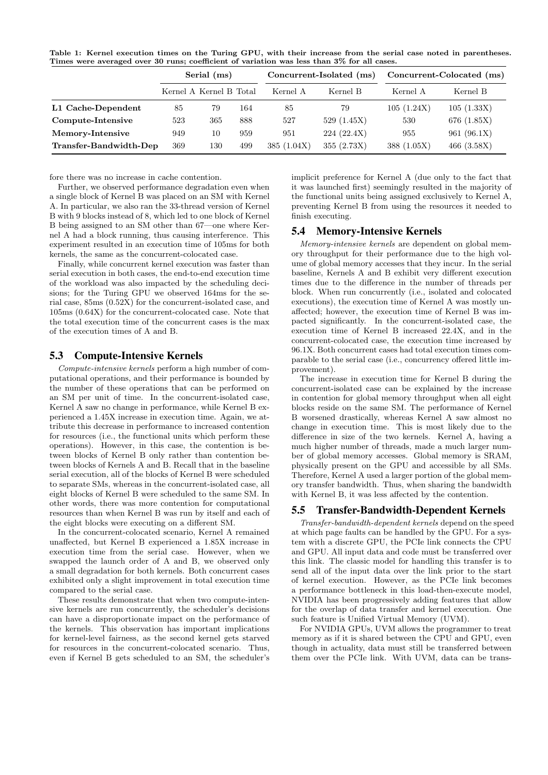Table 1: Kernel execution times on the Turing GPU, with their increase from the serial case noted in parentheses. Times were averaged over 30 runs; coefficient of variation was less than 3% for all cases.

|                        | Serial (ms)             |     |     |            | Concurrent-Isolated (ms) | Concurrent-Colocated (ms) |               |  |
|------------------------|-------------------------|-----|-----|------------|--------------------------|---------------------------|---------------|--|
|                        | Kernel A Kernel B Total |     |     | Kernel A   | Kernel B                 | Kernel A                  | Kernel B      |  |
| L1 Cache-Dependent     | 85                      | 79  | 164 | 85         | 79                       | 105(1.24X)                | 105(1.33X)    |  |
| Compute-Intensive      | 523                     | 365 | 888 | 527        | 529(1.45X)               | 530                       | 676 (1.85X)   |  |
| Memory-Intensive       | 949                     | 10  | 959 | 951        | 224(22.4X)               | 955                       | 961 (96.1X)   |  |
| Transfer-Bandwidth-Dep | 369                     | 130 | 499 | 385(1.04X) | 355(2.73X)               | 388(1.05X)                | 466 $(3.58X)$ |  |

fore there was no increase in cache contention.

Further, we observed performance degradation even when a single block of Kernel B was placed on an SM with Kernel A. In particular, we also ran the 33-thread version of Kernel B with 9 blocks instead of 8, which led to one block of Kernel B being assigned to an SM other than 67—one where Kernel A had a block running, thus causing interference. This experiment resulted in an execution time of 105ms for both kernels, the same as the concurrent-colocated case.

Finally, while concurrent kernel execution was faster than serial execution in both cases, the end-to-end execution time of the workload was also impacted by the scheduling decisions; for the Turing GPU we observed 164ms for the serial case, 85ms (0.52X) for the concurrent-isolated case, and 105ms (0.64X) for the concurrent-colocated case. Note that the total execution time of the concurrent cases is the max of the execution times of A and B.

#### 5.3 Compute-Intensive Kernels

Compute-intensive kernels perform a high number of computational operations, and their performance is bounded by the number of these operations that can be performed on an SM per unit of time. In the concurrent-isolated case, Kernel A saw no change in performance, while Kernel B experienced a 1.45X increase in execution time. Again, we attribute this decrease in performance to increased contention for resources (i.e., the functional units which perform these operations). However, in this case, the contention is between blocks of Kernel B only rather than contention between blocks of Kernels A and B. Recall that in the baseline serial execution, all of the blocks of Kernel B were scheduled to separate SMs, whereas in the concurrent-isolated case, all eight blocks of Kernel B were scheduled to the same SM. In other words, there was more contention for computational resources than when Kernel B was run by itself and each of the eight blocks were executing on a different SM.

In the concurrent-colocated scenario, Kernel A remained unaffected, but Kernel B experienced a 1.85X increase in execution time from the serial case. However, when we swapped the launch order of A and B, we observed only a small degradation for both kernels. Both concurrent cases exhibited only a slight improvement in total execution time compared to the serial case.

These results demonstrate that when two compute-intensive kernels are run concurrently, the scheduler's decisions can have a disproportionate impact on the performance of the kernels. This observation has important implications for kernel-level fairness, as the second kernel gets starved for resources in the concurrent-colocated scenario. Thus, even if Kernel B gets scheduled to an SM, the scheduler's

implicit preference for Kernel A (due only to the fact that it was launched first) seemingly resulted in the majority of the functional units being assigned exclusively to Kernel A, preventing Kernel B from using the resources it needed to finish executing.

## 5.4 Memory-Intensive Kernels

Memory-intensive kernels are dependent on global memory throughput for their performance due to the high volume of global memory accesses that they incur. In the serial baseline, Kernels A and B exhibit very different execution times due to the difference in the number of threads per block. When run concurrently (i.e., isolated and colocated executions), the execution time of Kernel A was mostly unaffected; however, the execution time of Kernel B was impacted significantly. In the concurrent-isolated case, the execution time of Kernel B increased 22.4X, and in the concurrent-colocated case, the execution time increased by 96.1X. Both concurrent cases had total execution times comparable to the serial case (i.e., concurrency offered little improvement).

The increase in execution time for Kernel B during the concurrent-isolated case can be explained by the increase in contention for global memory throughput when all eight blocks reside on the same SM. The performance of Kernel B worsened drastically, whereas Kernel A saw almost no change in execution time. This is most likely due to the difference in size of the two kernels. Kernel A, having a much higher number of threads, made a much larger number of global memory accesses. Global memory is SRAM, physically present on the GPU and accessible by all SMs. Therefore, Kernel A used a larger portion of the global memory transfer bandwidth. Thus, when sharing the bandwidth with Kernel B, it was less affected by the contention.

## 5.5 Transfer-Bandwidth-Dependent Kernels

Transfer-bandwidth-dependent kernels depend on the speed at which page faults can be handled by the GPU. For a system with a discrete GPU, the PCIe link connects the CPU and GPU. All input data and code must be transferred over this link. The classic model for handling this transfer is to send all of the input data over the link prior to the start of kernel execution. However, as the PCIe link becomes a performance bottleneck in this load-then-execute model, NVIDIA has been progressively adding features that allow for the overlap of data transfer and kernel execution. One such feature is Unified Virtual Memory (UVM).

For NVIDIA GPUs, UVM allows the programmer to treat memory as if it is shared between the CPU and GPU, even though in actuality, data must still be transferred between them over the PCIe link. With UVM, data can be trans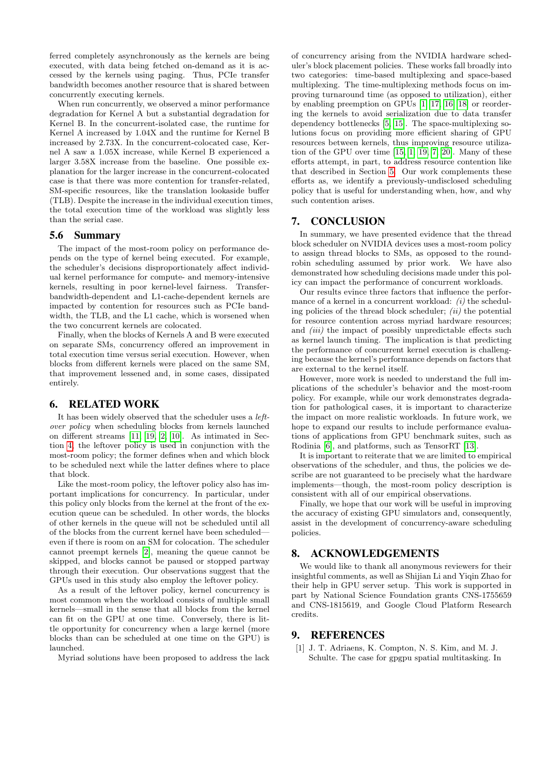ferred completely asynchronously as the kernels are being executed, with data being fetched on-demand as it is accessed by the kernels using paging. Thus, PCIe transfer bandwidth becomes another resource that is shared between concurrently executing kernels.

When run concurrently, we observed a minor performance degradation for Kernel A but a substantial degradation for Kernel B. In the concurrent-isolated case, the runtime for Kernel A increased by 1.04X and the runtime for Kernel B increased by 2.73X. In the concurrent-colocated case, Kernel A saw a 1.05X increase, while Kernel B experienced a larger 3.58X increase from the baseline. One possible explanation for the larger increase in the concurrent-colocated case is that there was more contention for transfer-related, SM-specific resources, like the translation lookaside buffer (TLB). Despite the increase in the individual execution times, the total execution time of the workload was slightly less than the serial case.

## 5.6 Summary

The impact of the most-room policy on performance depends on the type of kernel being executed. For example, the scheduler's decisions disproportionately affect individual kernel performance for compute- and memory-intensive kernels, resulting in poor kernel-level fairness. Transferbandwidth-dependent and L1-cache-dependent kernels are impacted by contention for resources such as PCIe bandwidth, the TLB, and the L1 cache, which is worsened when the two concurrent kernels are colocated.

Finally, when the blocks of Kernels A and B were executed on separate SMs, concurrency offered an improvement in total execution time versus serial execution. However, when blocks from different kernels were placed on the same SM, that improvement lessened and, in some cases, dissipated entirely.

## 6. RELATED WORK

It has been widely observed that the scheduler uses a leftover policy when scheduling blocks from kernels launched on different streams [11, 19, 2, 10]. As intimated in Section 4, the leftover policy is used in conjunction with the most-room policy; the former defines when and which block to be scheduled next while the latter defines where to place that block.

Like the most-room policy, the leftover policy also has important implications for concurrency. In particular, under this policy only blocks from the kernel at the front of the execution queue can be scheduled. In other words, the blocks of other kernels in the queue will not be scheduled until all of the blocks from the current kernel have been scheduled even if there is room on an SM for colocation. The scheduler cannot preempt kernels [2], meaning the queue cannot be skipped, and blocks cannot be paused or stopped partway through their execution. Our observations suggest that the GPUs used in this study also employ the leftover policy.

As a result of the leftover policy, kernel concurrency is most common when the workload consists of multiple small kernels—small in the sense that all blocks from the kernel can fit on the GPU at one time. Conversely, there is little opportunity for concurrency when a large kernel (more blocks than can be scheduled at one time on the GPU) is launched.

Myriad solutions have been proposed to address the lack

of concurrency arising from the NVIDIA hardware scheduler's block placement policies. These works fall broadly into two categories: time-based multiplexing and space-based multiplexing. The time-multiplexing methods focus on improving turnaround time (as opposed to utilization), either by enabling preemption on GPUs [1, 17, 16, 18] or reordering the kernels to avoid serialization due to data transfer dependency bottlenecks [5, 15]. The space-multiplexing solutions focus on providing more efficient sharing of GPU resources between kernels, thus improving resource utilization of the GPU over time [15, 1, 19, 7, 20]. Many of these efforts attempt, in part, to address resource contention like that described in Section 5. Our work complements these efforts as, we identify a previously-undisclosed scheduling policy that is useful for understanding when, how, and why such contention arises.

## 7. CONCLUSION

In summary, we have presented evidence that the thread block scheduler on NVIDIA devices uses a most-room policy to assign thread blocks to SMs, as opposed to the roundrobin scheduling assumed by prior work. We have also demonstrated how scheduling decisions made under this policy can impact the performance of concurrent workloads.

Our results evince three factors that influence the performance of a kernel in a concurrent workload:  $(i)$  the scheduling policies of the thread block scheduler;  $(ii)$  the potential for resource contention across myriad hardware resources; and *(iii)* the impact of possibly unpredictable effects such as kernel launch timing. The implication is that predicting the performance of concurrent kernel execution is challenging because the kernel's performance depends on factors that are external to the kernel itself.

However, more work is needed to understand the full implications of the scheduler's behavior and the most-room policy. For example, while our work demonstrates degradation for pathological cases, it is important to characterize the impact on more realistic workloads. In future work, we hope to expand our results to include performance evaluations of applications from GPU benchmark suites, such as Rodinia [6], and platforms, such as TensorRT [13].

It is important to reiterate that we are limited to empirical observations of the scheduler, and thus, the policies we describe are not guaranteed to be precisely what the hardware implements—though, the most-room policy description is consistent with all of our empirical observations.

Finally, we hope that our work will be useful in improving the accuracy of existing GPU simulators and, consequently, assist in the development of concurrency-aware scheduling policies.

#### 8. ACKNOWLEDGEMENTS

We would like to thank all anonymous reviewers for their insightful comments, as well as Shijian Li and Yiqin Zhao for their help in GPU server setup. This work is supported in part by National Science Foundation grants CNS-1755659 and CNS-1815619, and Google Cloud Platform Research credits.

## 9. REFERENCES

[1] J. T. Adriaens, K. Compton, N. S. Kim, and M. J. Schulte. The case for gpgpu spatial multitasking. In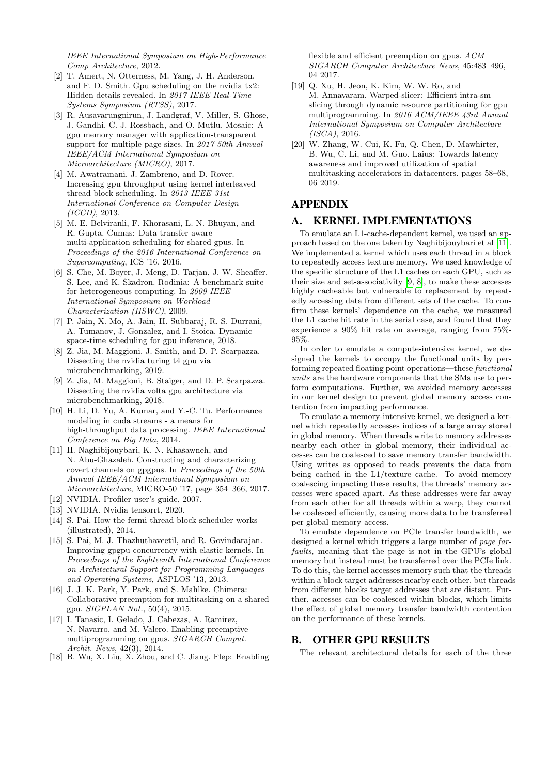IEEE International Symposium on High-Performance Comp Architecture, 2012.

- [2] T. Amert, N. Otterness, M. Yang, J. H. Anderson, and F. D. Smith. Gpu scheduling on the nvidia tx2: Hidden details revealed. In 2017 IEEE Real-Time Systems Symposium (RTSS), 2017.
- [3] R. Ausavarungnirun, J. Landgraf, V. Miller, S. Ghose, J. Gandhi, C. J. Rossbach, and O. Mutlu. Mosaic: A gpu memory manager with application-transparent support for multiple page sizes. In 2017 50th Annual IEEE/ACM International Symposium on Microarchitecture (MICRO), 2017.
- [4] M. Awatramani, J. Zambreno, and D. Rover. Increasing gpu throughput using kernel interleaved thread block scheduling. In 2013 IEEE 31st International Conference on Computer Design (ICCD), 2013.
- [5] M. E. Belviranli, F. Khorasani, L. N. Bhuyan, and R. Gupta. Cumas: Data transfer aware multi-application scheduling for shared gpus. In Proceedings of the 2016 International Conference on Supercomputing, ICS '16, 2016.
- [6] S. Che, M. Boyer, J. Meng, D. Tarjan, J. W. Sheaffer, S. Lee, and K. Skadron. Rodinia: A benchmark suite for heterogeneous computing. In 2009 IEEE International Symposium on Workload Characterization (IISWC), 2009.
- [7] P. Jain, X. Mo, A. Jain, H. Subbaraj, R. S. Durrani, A. Tumanov, J. Gonzalez, and I. Stoica. Dynamic space-time scheduling for gpu inference, 2018.
- [8] Z. Jia, M. Maggioni, J. Smith, and D. P. Scarpazza. Dissecting the nvidia turing t4 gpu via microbenchmarking, 2019.
- [9] Z. Jia, M. Maggioni, B. Staiger, and D. P. Scarpazza. Dissecting the nvidia volta gpu architecture via microbenchmarking, 2018.
- [10] H. Li, D. Yu, A. Kumar, and Y.-C. Tu. Performance modeling in cuda streams - a means for high-throughput data processing. IEEE International Conference on Big Data, 2014.
- [11] H. Naghibijouybari, K. N. Khasawneh, and N. Abu-Ghazaleh. Constructing and characterizing covert channels on gpgpus. In Proceedings of the 50th Annual IEEE/ACM International Symposium on Microarchitecture, MICRO-50 '17, page 354–366, 2017.
- [12] NVIDIA. Profiler user's guide, 2007.
- [13] NVIDIA. Nvidia tensorrt, 2020.
- [14] S. Pai. How the fermi thread block scheduler works (illustrated), 2014.
- [15] S. Pai, M. J. Thazhuthaveetil, and R. Govindarajan. Improving gpgpu concurrency with elastic kernels. In Proceedings of the Eighteenth International Conference on Architectural Support for Programming Languages and Operating Systems, ASPLOS '13, 2013.
- [16] J. J. K. Park, Y. Park, and S. Mahlke. Chimera: Collaborative preemption for multitasking on a shared gpu. SIGPLAN Not., 50(4), 2015.
- [17] I. Tanasic, I. Gelado, J. Cabezas, A. Ramirez, N. Navarro, and M. Valero. Enabling preemptive multiprogramming on gpus. SIGARCH Comput. Archit. News, 42(3), 2014.
- [18] B. Wu, X. Liu, X. Zhou, and C. Jiang. Flep: Enabling

flexible and efficient preemption on gpus. ACM SIGARCH Computer Architecture News, 45:483–496, 04 2017.

- [19] Q. Xu, H. Jeon, K. Kim, W. W. Ro, and M. Annavaram. Warped-slicer: Efficient intra-sm slicing through dynamic resource partitioning for gpu multiprogramming. In 2016 ACM/IEEE 43rd Annual International Symposium on Computer Architecture (ISCA), 2016.
- [20] W. Zhang, W. Cui, K. Fu, Q. Chen, D. Mawhirter, B. Wu, C. Li, and M. Guo. Laius: Towards latency awareness and improved utilization of spatial multitasking accelerators in datacenters. pages 58–68, 06 2019.

## APPENDIX

## A. KERNEL IMPLEMENTATIONS

To emulate an L1-cache-dependent kernel, we used an approach based on the one taken by Naghibijouybari et al [11]. We implemented a kernel which uses each thread in a block to repeatedly access texture memory. We used knowledge of the specific structure of the L1 caches on each GPU, such as their size and set-associativity [9, 8], to make these accesses highly cacheable but vulnerable to replacement by repeatedly accessing data from different sets of the cache. To confirm these kernels' dependence on the cache, we measured the L1 cache hit rate in the serial case, and found that they experience a 90% hit rate on average, ranging from 75%- 95%.

In order to emulate a compute-intensive kernel, we designed the kernels to occupy the functional units by performing repeated floating point operations—these functional units are the hardware components that the SMs use to perform computations. Further, we avoided memory accesses in our kernel design to prevent global memory access contention from impacting performance.

To emulate a memory-intensive kernel, we designed a kernel which repeatedly accesses indices of a large array stored in global memory. When threads write to memory addresses nearby each other in global memory, their individual accesses can be coalesced to save memory transfer bandwidth. Using writes as opposed to reads prevents the data from being cached in the L1/texture cache. To avoid memory coalescing impacting these results, the threads' memory accesses were spaced apart. As these addresses were far away from each other for all threads within a warp, they cannot be coalesced efficiently, causing more data to be transferred per global memory access.

To emulate dependence on PCIe transfer bandwidth, we designed a kernel which triggers a large number of page farfaults, meaning that the page is not in the GPU's global memory but instead must be transferred over the PCIe link. To do this, the kernel accesses memory such that the threads within a block target addresses nearby each other, but threads from different blocks target addresses that are distant. Further, accesses can be coalesced within blocks, which limits the effect of global memory transfer bandwidth contention on the performance of these kernels.

## B. OTHER GPU RESULTS

The relevant architectural details for each of the three